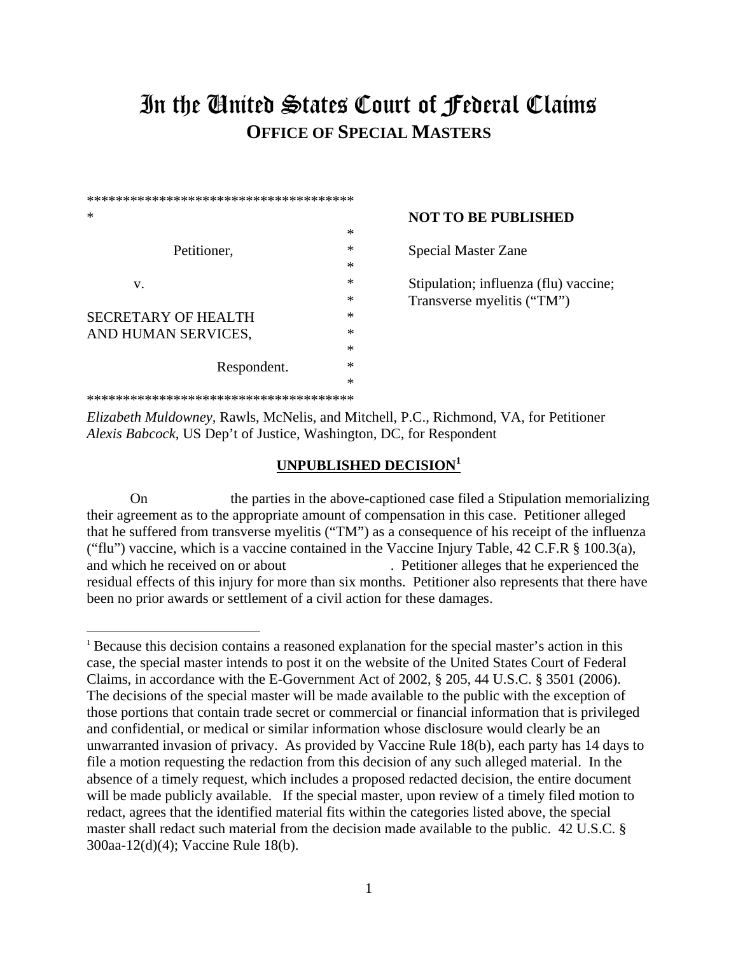## In the United States Court of Federal Claims **OFFICE OF SPECIAL MASTERS**

| ************************************** |   |                                       |
|----------------------------------------|---|---------------------------------------|
| ∗                                      |   | <b>NOT TO BE PUBLISHED</b>            |
|                                        | ∗ |                                       |
| Petitioner,                            | ∗ | <b>Special Master Zane</b>            |
|                                        | ∗ |                                       |
| V.                                     | ∗ | Stipulation; influenza (flu) vaccine; |
|                                        | ∗ | Transverse myelitis ("TM")            |
| SECRETARY OF HEALTH                    | ∗ |                                       |
| AND HUMAN SERVICES,                    | * |                                       |
|                                        | ∗ |                                       |
| Respondent.                            | ∗ |                                       |
|                                        | * |                                       |
| ************************************** |   |                                       |

*Elizabeth Muldowney,* Rawls, McNelis, and Mitchell, P.C., Richmond, VA, for Petitioner *Alexis Babcock*, US Dep't of Justice, Washington, DC, for Respondent

## **UNPUBLISHED DECISION1**

On the parties in the above-captioned case filed a Stipulation memorializing their agreement as to the appropriate amount of compensation in this case. Petitioner alleged that he suffered from transverse myelitis ("TM") as a consequence of his receipt of the influenza ("flu") vaccine, which is a vaccine contained in the Vaccine Injury Table,  $42$  C.F.R  $\S$  100.3(a), and which he received on or about . Petitioner alleges that he experienced the residual effects of this injury for more than six months. Petitioner also represents that there have been no prior awards or settlement of a civil action for these damages.

<sup>1</sup> Because this decision contains a reasoned explanation for the special master's action in this case, the special master intends to post it on the website of the United States Court of Federal Claims, in accordance with the E-Government Act of 2002, § 205, 44 U.S.C. § 3501 (2006). The decisions of the special master will be made available to the public with the exception of those portions that contain trade secret or commercial or financial information that is privileged and confidential, or medical or similar information whose disclosure would clearly be an unwarranted invasion of privacy. As provided by Vaccine Rule 18(b), each party has 14 days to file a motion requesting the redaction from this decision of any such alleged material. In the absence of a timely request, which includes a proposed redacted decision, the entire document will be made publicly available. If the special master, upon review of a timely filed motion to redact, agrees that the identified material fits within the categories listed above, the special master shall redact such material from the decision made available to the public. 42 U.S.C. § 300aa-12(d)(4); Vaccine Rule 18(b).